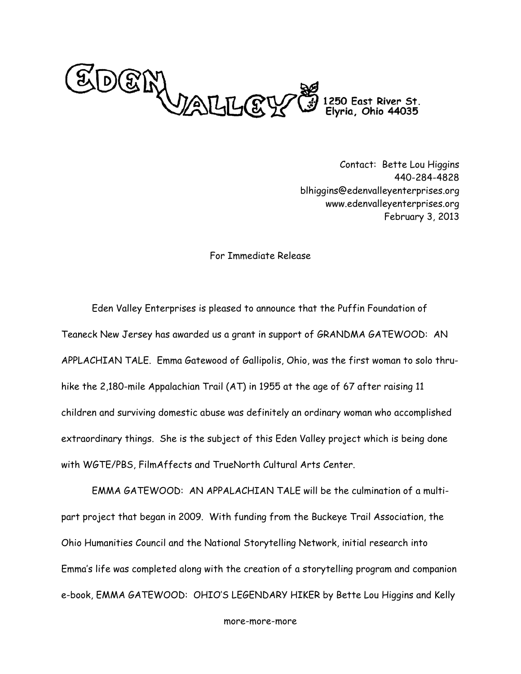

Contact: Bette Lou Higgins 440-284-4828 blhiggins@edenvalleyenterprises.org www.edenvalleyenterprises.org February 3, 2013

## For Immediate Release

Eden Valley Enterprises is pleased to announce that the Puffin Foundation of Teaneck New Jersey has awarded us a grant in support of GRANDMA GATEWOOD: AN APPLACHIAN TALE. Emma Gatewood of Gallipolis, Ohio, was the first woman to solo thruhike the 2,180-mile Appalachian Trail (AT) in 1955 at the age of 67 after raising 11 children and surviving domestic abuse was definitely an ordinary woman who accomplished extraordinary things. She is the subject of this Eden Valley project which is being done with WGTE/PBS, FilmAffects and TrueNorth Cultural Arts Center.

EMMA GATEWOOD: AN APPALACHIAN TALE will be the culmination of a multipart project that began in 2009. With funding from the Buckeye Trail Association, the Ohio Humanities Council and the National Storytelling Network, initial research into Emma's life was completed along with the creation of a storytelling program and companion e-book, EMMA GATEWOOD: OHIO'S LEGENDARY HIKER by Bette Lou Higgins and Kelly